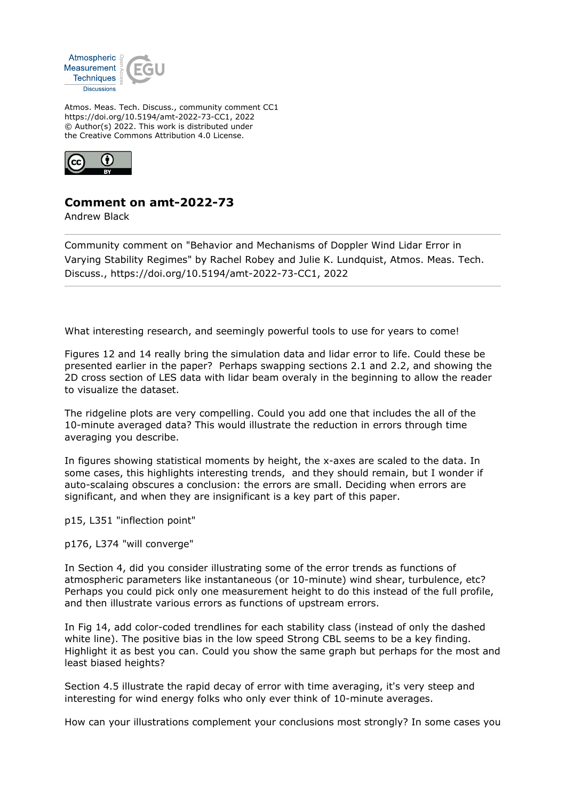

Atmos. Meas. Tech. Discuss., community comment CC1 https://doi.org/10.5194/amt-2022-73-CC1, 2022 © Author(s) 2022. This work is distributed under the Creative Commons Attribution 4.0 License.



## **Comment on amt-2022-73**

Andrew Black

Community comment on "Behavior and Mechanisms of Doppler Wind Lidar Error in Varying Stability Regimes" by Rachel Robey and Julie K. Lundquist, Atmos. Meas. Tech. Discuss., https://doi.org/10.5194/amt-2022-73-CC1, 2022

What interesting research, and seemingly powerful tools to use for years to come!

Figures 12 and 14 really bring the simulation data and lidar error to life. Could these be presented earlier in the paper? Perhaps swapping sections 2.1 and 2.2, and showing the 2D cross section of LES data with lidar beam overaly in the beginning to allow the reader to visualize the dataset.

The ridgeline plots are very compelling. Could you add one that includes the all of the 10-minute averaged data? This would illustrate the reduction in errors through time averaging you describe.

In figures showing statistical moments by height, the x-axes are scaled to the data. In some cases, this highlights interesting trends, and they should remain, but I wonder if auto-scalaing obscures a conclusion: the errors are small. Deciding when errors are significant, and when they are insignificant is a key part of this paper.

p15, L351 "inflection point"

p176, L374 "will converge"

In Section 4, did you consider illustrating some of the error trends as functions of atmospheric parameters like instantaneous (or 10-minute) wind shear, turbulence, etc? Perhaps you could pick only one measurement height to do this instead of the full profile, and then illustrate various errors as functions of upstream errors.

In Fig 14, add color-coded trendlines for each stability class (instead of only the dashed white line). The positive bias in the low speed Strong CBL seems to be a key finding. Highlight it as best you can. Could you show the same graph but perhaps for the most and least biased heights?

Section 4.5 illustrate the rapid decay of error with time averaging, it's very steep and interesting for wind energy folks who only ever think of 10-minute averages.

How can your illustrations complement your conclusions most strongly? In some cases you